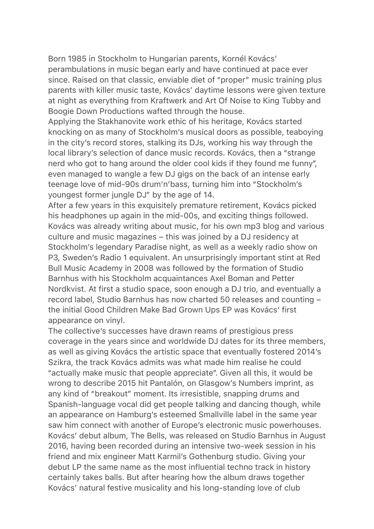Born 1985 in Stockholm to Hungarian parents, Kornél Kovács' perambulations in music began early and have continued at pace ever since. Raised on that classic, enviable diet of "proper" music training plus parents with killer music taste, Kovács' daytime lessons were given texture at night as everything from Kraftwerk and Art Of Noise to King Tubby and Boogie Down Productions wafted through the house.

Applying the Stakhanovite work ethic of his heritage, Kovács started knocking on as many of Stockholm's musical doors as possible, teaboying in the city's record stores, stalking its DJs, working his way through the local library's selection of dance music records. Kovács, then a "strange nerd who got to hang around the older cool kids if they found me funny", even managed to wangle a few DJ gigs on the back of an intense early teenage love of mid-90s drum'n'bass, turning him into "Stockholm's youngest former jungle DJ" by the age of 14.

After a few years in this exquisitely premature retirement, Kovács picked his headphones up again in the mid-00s, and exciting things followed. Kovács was already writing about music, for his own mp3 blog and various culture and music magazines – this was joined by a DJ residency at Stockholm's legendary Paradise night, as well as a weekly radio show on P3, Sweden's Radio 1 equivalent. An unsurprisingly important stint at Red Bull Music Academy in 2008 was followed by the formation of Studio Barnhus with his Stockholm acquaintances Axel Boman and Petter Nordkvist. At first a studio space, soon enough a DJ trio, and eventually a record label, Studio Barnhus has now charted 50 releases and counting – the initial Good Children Make Bad Grown Ups EP was Kovács' first appearance on vinyl.

The collective's successes have drawn reams of prestigious press coverage in the years since and worldwide DJ dates for its three members, as well as giving Kovács the artistic space that eventually fostered 2014's Szikra, the track Kovács admits was what made him realise he could "actually make music that people appreciate". Given all this, it would be wrong to describe 2015 hit Pantalón, on Glasgow's Numbers imprint, as any kind of "breakout" moment. Its irresistible, snapping drums and Spanish-language vocal did get people talking and dancing though, while an appearance on Hamburg's esteemed Smallville label in the same year saw him connect with another of Europe's electronic music powerhouses. Kovács' debut album, The Bells, was released on Studio Barnhus in August 2016, having been recorded during an intensive two-week session in his friend and mix engineer Matt Karmil's Gothenburg studio. Giving your debut LP the same name as the most influential techno track in history certainly takes balls. But after hearing how the album draws together Kovács' natural festive musicality and his long-standing love of club